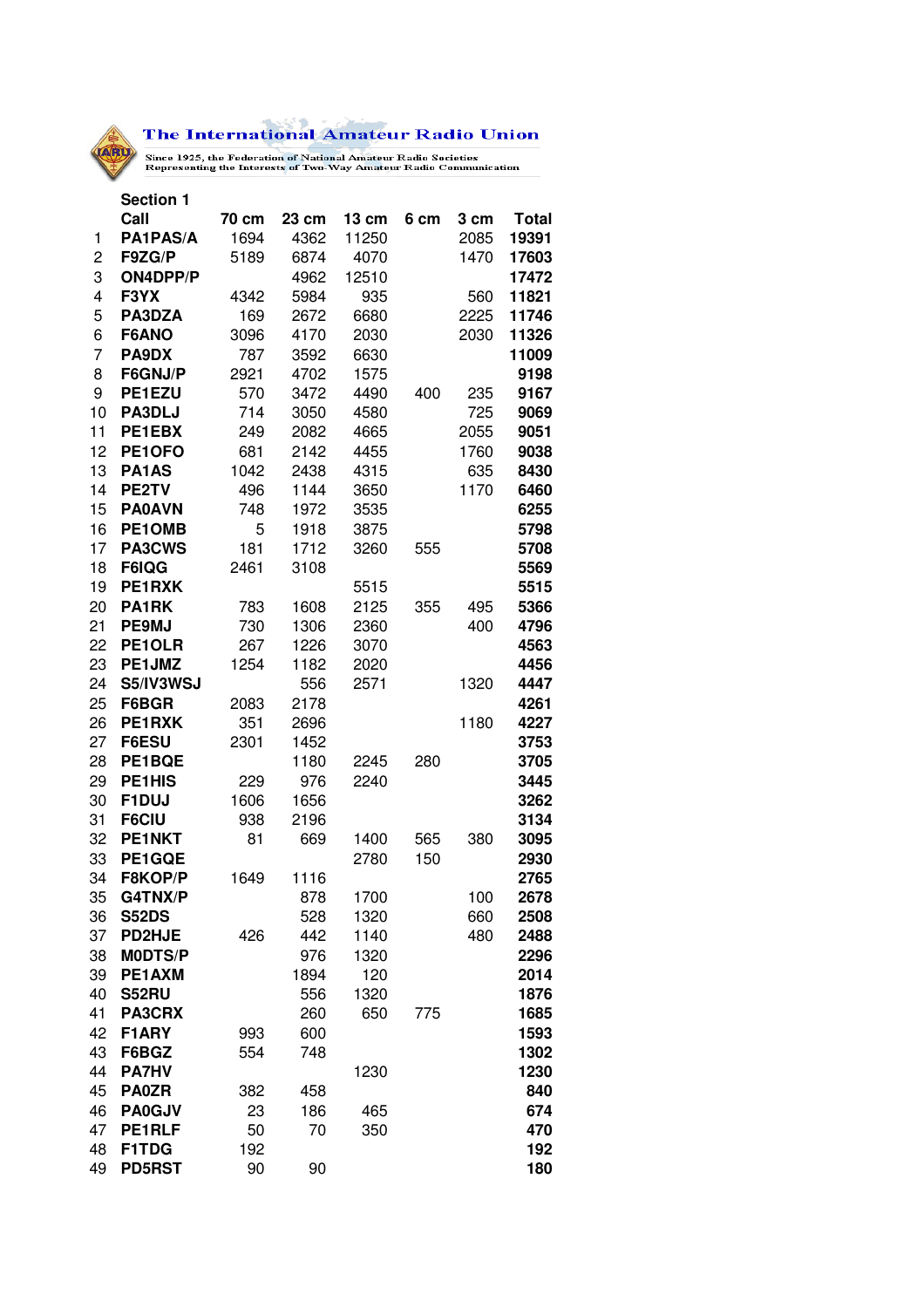$\mathbb{R}^3$ The International Amateur Radio Union

Since 1925, the Federation of National Amateur Radio Societies<br>Representing the Interests of Two-Way Amateur Radio Communication

|                | <b>Section 1</b>        |       |            |                 |      |            |              |
|----------------|-------------------------|-------|------------|-----------------|------|------------|--------------|
|                | Call                    | 70 cm | 23 cm      | $13 \text{ cm}$ | 6 cm | 3 cm       | <b>Total</b> |
| 1              | PA1PAS/A                | 1694  | 4362       | 11250           |      | 2085       | 19391        |
| $\overline{c}$ | F9ZG/P                  | 5189  | 6874       | 4070            |      | 1470       | 17603        |
| 3              | ON4DPP/P                |       | 4962       | 12510           |      |            | 17472        |
| 4              | F3YX                    | 4342  | 5984       | 935             |      | 560        | 11821        |
| 5              | PA3DZA                  | 169   | 2672       | 6680            |      | 2225       | 11746        |
| 6              | F6ANO                   | 3096  | 4170       | 2030            |      | 2030       | 11326        |
| 7              | PA9DX                   | 787   | 3592       | 6630            |      |            | 11009        |
| 8              | F6GNJ/P                 | 2921  | 4702       | 1575            |      |            | 9198         |
| 9              | PE1EZU                  | 570   | 3472       | 4490            | 400  | 235        | 9167         |
| 10             | PA3DLJ                  | 714   | 3050       | 4580            |      | 725        | 9069         |
| 11             | PE1EBX                  | 249   | 2082       | 4665            |      | 2055       | 9051         |
| 12             | PE1OFO                  | 681   | 2142       | 4455            |      | 1760       | 9038         |
| 13             | PA1AS                   | 1042  | 2438       | 4315            |      | 635        | 8430         |
| 14             | PE2TV                   | 496   | 1144       | 3650            |      | 1170       | 6460         |
| 15             | <b>PA0AVN</b>           | 748   | 1972       | 3535            |      |            | 6255         |
| 16             | PE1OMB                  | 5     | 1918       | 3875            |      |            | 5798         |
| 17             | <b>PA3CWS</b>           | 181   | 1712       | 3260            | 555  |            | 5708         |
| 18             | F6IQG                   | 2461  | 3108       |                 |      |            | 5569         |
| 19             | PE1RXK                  |       |            | 5515            |      |            | 5515         |
| 20             | PA1RK                   | 783   | 1608       | 2125            | 355  | 495        | 5366         |
| 21             | <b>PE9MJ</b>            | 730   | 1306       | 2360            |      | 400        | 4796         |
| 22             | PE1OLR                  | 267   | 1226       | 3070            |      |            | 4563         |
| 23             | PE1JMZ                  | 1254  | 1182       | 2020            |      |            | 4456         |
| 24             | S5/IV3WSJ               |       | 556        | 2571            |      | 1320       | 4447         |
| 25             | F6BGR                   | 2083  | 2178       |                 |      |            | 4261         |
| 26             | PE1RXK                  | 351   | 2696       |                 |      | 1180       | 4227         |
| 27             | F6ESU                   | 2301  | 1452       |                 |      |            | 3753         |
| 28             | PE1BQE                  |       | 1180       | 2245            | 280  |            | 3705         |
| 29             | PE1HIS                  | 229   | 976        | 2240            |      |            | 3445         |
| 30             | F1DUJ                   | 1606  | 1656       |                 |      |            | 3262         |
| 31             | <b>F6CIU</b>            | 938   | 2196       |                 |      |            | 3134         |
| 32             | PE1NKT                  | 81    | 669        | 1400            | 565  | 380        | 3095         |
| 33             | PE1GQE<br>F8KOP/P       |       |            | 2780            | 150  |            | 2930         |
| 34             |                         | 1649  | 1116       |                 |      |            | 2765         |
| 35<br>36       | G4TNX/P<br><b>S52DS</b> |       | 878<br>528 | 1700<br>1320    |      | 100<br>660 | 2678<br>2508 |
| 37             | <b>PD2HJE</b>           | 426   | 442        | 1140            |      | 480        | 2488         |
| 38             | <b>MODTS/P</b>          |       | 976        | 1320            |      |            | 2296         |
| 39             | PE1AXM                  |       | 1894       | 120             |      |            | 2014         |
| 40             | <b>S52RU</b>            |       | 556        | 1320            |      |            | 1876         |
| 41             | <b>PA3CRX</b>           |       | 260        | 650             | 775  |            | 1685         |
| 42             | F1ARY                   | 993   | 600        |                 |      |            | 1593         |
| 43             | F6BGZ                   | 554   | 748        |                 |      |            | 1302         |
| 44             | <b>PA7HV</b>            |       |            | 1230            |      |            | 1230         |
| 45             | <b>PA0ZR</b>            | 382   | 458        |                 |      |            | 840          |
| 46             | <b>PA0GJV</b>           | 23    | 186        | 465             |      |            | 674          |
| 47             | PE1RLF                  | 50    | 70         | 350             |      |            | 470          |
| 48             | F1TDG                   | 192   |            |                 |      |            | 192          |
| 49             | <b>PD5RST</b>           | 90    | 90         |                 |      |            | 180          |